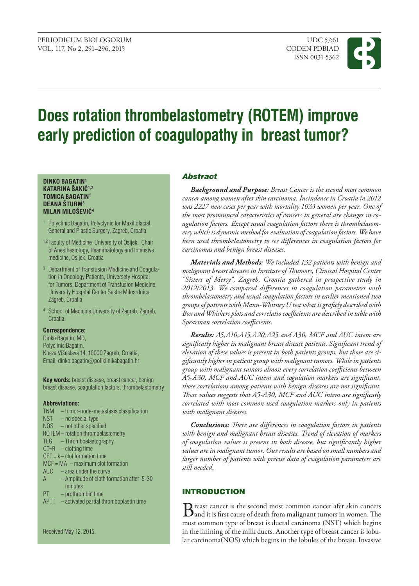

# **Does rotation thrombelastometry (ROTEM) improve early prediction of coagulopathy in breast tumor?**

### **DINKO BAGATIN1 KATARINA ŠAKIĆ1,2 TOMICA BAGATIN1 DEANA ŠTURM3 MILAN MILOŠEVIĆ<sup>4</sup>**

- 1 Polyclinic Bagatin, Polyclynic for Maxillofacial, General and Plastic Surgery, Zagreb, Croatia
- 1,2 Faculty of Medicine University of Osijek, Chair of Anesthesiology, Reanimatology and Intensive medicine, Osijek, Croatia
- 3 Department of Transfusion Medicine and Coagulation in Oncology Patients, Universety Hospital for Tumors, Department of Transfusion Medicine, University Hospital Center Sestre Milosrdnice, Zagreb, Croatia
- 4 School of Medicine University of Zagreb, Zagreb, **Croatia**

## **Correspondence:**

Dinko Bagatin, MD, Polyclinic Bagatin. Kneza Višeslava 14, 10000 Zagreb, Croatia, Email: dinko.bagatin@poliklinikabagatin.hr

**Key words:** breast disease, breast cancer, benign breast disease, coagulation factors, thrombelastometry

## **Abbreviations:**

| TNM | - tumor-node-metastasis classification            |
|-----|---------------------------------------------------|
|     | $NST - no special type$                           |
|     | NOS – not other specified                         |
|     | ROTEM-rotation thrombelastometry                  |
|     | TEG - Thromboelastography                         |
|     | $CT=R -clotting time$                             |
|     | $CFT = k - clot$ formation time                   |
|     | $MCF = MA - maximum clot formation$               |
|     | $AUC - area$ under the curve                      |
|     | A - Amplitude of cloth formation after 5-30       |
|     | minutes                                           |
| PT  | - prothrombin time                                |
|     | $A$ PTT $-$ activated partial thromboplastin time |
|     |                                                   |

# Abstract

*Background and purpose: Breast Cancer is the second most common cancer among women after skin carcinoma. Incindence in Croatia in 2012 was 2227 new cases per year with mortality 1033 women per year. One of the most pronaunced caracteristics of cancers in general are changes in coagulation factors. Except usual coagulation factors there is thrombelasometry which is dynamic method for evaluation of coagulation factors. We have been used thrombelastometry to see differences in coagulation factors for carcinomas and benign breast diseases.*

*Materials and methods: We included 132 patients with benign and malignant breast diseases in Institute of Thumors, Clinical Hospital Center "Sisters of Mersy", Zagreb, Croatia gathered in prospective study in 2012/2013. We compared differences in coagulation parameters with thrombelastometry and usual coagulation factors in earlier mentioned two groups of patients with Mann-Whitney U test what is graficly described with Box and Whiskers plots and correlatio coefficients are described in table with Spearman correlation coefficients.*

*Results: A5,A10,A15,A20,A25 and A30, MCF and AUC intem are significatly higher in malignant breast disease patients. Significant trend of elevation of these values is present in both patients groups, but those are sigificantly higher in patient group with malignant tumors. While in patients group with malignant tumors almost every correlation coefficients between A5-A30, MCF and AUC intem and cogulation markers are significant, those correlations among patients with benign diseases are not significant. Those values suggests that A5-A30, MCF and AUC intem are significatly correlated with most common used coagulation markers only in patients with malignant diseases.*

*Conclusions: There are differences in coagulation factors in patients with benign and malignant breast diseases. Trend of elevation of markers of coagulation values is present in both disease, but significantly higher values are in malignant tumor. Our results are based on small numbers and larger number of patients with precise data of coagulation parameters are still needed.*

# **INTRODUCTION**

Breast cancer is the second most common cancer afer skin cancers<br>and it is first cause of death from malignant tumors in women. The most common type of breast is ductal carcinoma (NST) which begins in the linining of the milk ducts. Another type of breast cancer is lobular carcinoma(NOS) which begins in the lobules of the breast. Invasive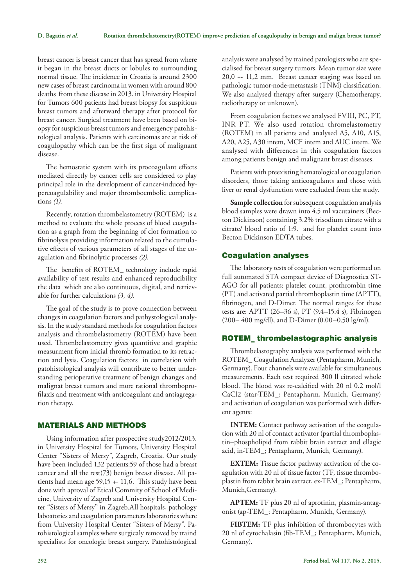breast cancer is breast cancer that has spread from where it began in the breast ducts or lobules to surrounding normal tissue. The incidence in Croatia is around 2300 new cases of breast carcinoma in women with around 800 deaths from these disease in 2013. in University Hospital for Tumors 600 patients had breast biopsy for suspitious breast tumors and afterward therapy after protocol for breast cancer. Surgical treatment have been based on biopsy for suspicious breast tumors and emergency patohistological analysis. Patients with carcinomas are at risk of coagulopathy which can be the first sign of malignant disease.

The hemostatic system with its procoagulant effects mediated directly by cancer cells are considered to play principal role in the development of cancer-induced hypercoagulability and major thromboembolic complications *(1).*

Recently, rotation thrombelastometry (ROTEM) is a method to evaluate the whole process of blood coagulation as a graph from the beginning of clot formation to fibrinolysis providing information related to the cumulative effects of various parameters of all stages of the coagulation and fibrinolytic processes *(2).*

The benefits of ROTEM\_ technology include rapid availability of test results and enhanced reproducibility the data which are also continuous, digital, and retrievable for further calculations *(3, 4).*

The goal of the study is to prove connection between changes in coagulation factors and pathystological analysis. In the study standard methods for coagulation factors analysis and thrombelastometry (ROTEM) have been used. Thrombelastometry gives quantitive and graphic measurment from inicial thromb formation to its retraction and lysis. Coagulation factors in correlation with patohistological analysis will contribute to better understanding perioperative treatment of benign changes and malignat breast tumors and more rational thromboprofilaxis and treatment with anticoagulant and antiagregation therapy.

# Materials and methods

Using information after prospective study2012/2013. in University Hospital for Tumors, University Hospital Center "Sisters of Mersy", Zagreb, Croatia. Our study have been included 132 patients:59 of those had a breast cancer and all the rest(73) benign breast disease. All patients had mean age 59,15 +- 11,6. This study have been done with aproval of Etical Commity of School of Medicine, University of Zagreb and University Hospital Center "Sisters of Mersy" in Zagreb.All hospitals, pathology laboatories and coagulation parameters laboratories where from University Hospital Center "Sisters of Mersy". Patohistological samples where surgicaly removed by traind specialists for oncologic breast surgery. Patohistological analysis were analysed by trained patologists who are specialised for breast surgery tumors. Mean tumor size were 20,0 +- 11,2 mm. Breast cancer staging was based on pathologic tumor-node-metastasis (TNM) classification. We also analysed therapy after surgery (Chemotherapy, radiotherapy or unknown).

From coagulation factors we analysed FVIII, PC, PT, INR PT. We also used rotation thromelastometry (ROTEM) in all patients and analysed A5, A10, A15, A20, A25, A30 intem, MCF intem and AUC intem. We analysed with differences in this coagulation factors among patients benign and malignant breast diseases.

Patients with preexisting hematological or coagulation disorders, those taking anticoagulants and those with liver or renal dysfunction were excluded from the study.

**Sample collection** for subsequent coagulation analysis blood samples were drawn into 4.5 ml vacutainers (Becton Dickinson) containing 3.2% trisodium citrate with a citrate/ blood ratio of 1:9. and for platelet count into Becton Dickinson EDTA tubes.

### Coagulation analyses

The laboratory tests of coagulation were performed on full automated STA compact device of Diagnostica ST-AGO for all patients: platelet count, prothrombin time (PT) and activated partial thromboplastin time (APTT), fibrinogen, and D-Dimer. The normal ranges for these tests are: APTT (26–36 s), PT (9.4–15.4 s), Fibrinogen (200– 400 mg/dl), and D-Dimer (0.00–0.50 lg/ml).

# ROTEM\_ thrombelastographic analysis

Thrombelastography analysis was performed with the ROTEM\_ Coagulation Analyzer (Pentapharm, Munich, Germany). Four channels were available for simultaneous measurements. Each test required 300 ll citrated whole blood. The blood was re-calcified with 20 nl 0.2 mol/l CaCl2 (star-TEM\_; Pentapharm, Munich, Germany) and activation of coagulation was performed with different agents:

**INTEM:** Contact pathway activation of the coagulation with 20 nl of contact activator (partial thromboplastin–phospholipid from rabbit brain extract and ellagic acid, in-TEM\_; Pentapharm, Munich, Germany).

**EXTEM:** Tissue factor pathway activation of the coagulation with 20 nl of tissue factor (TF, tissue thromboplastin from rabbit brain extract, ex-TEM\_; Pentapharm, Munich,Germany).

**APTEM:** TF plus 20 nl of aprotinin, plasmin-antagonist (ap-TEM\_; Pentapharm, Munich, Germany).

**FIBTEM:** TF plus inhibition of thrombocytes with 20 nl of cytochalasin (fib-TEM\_; Pentapharm, Munich, Germany).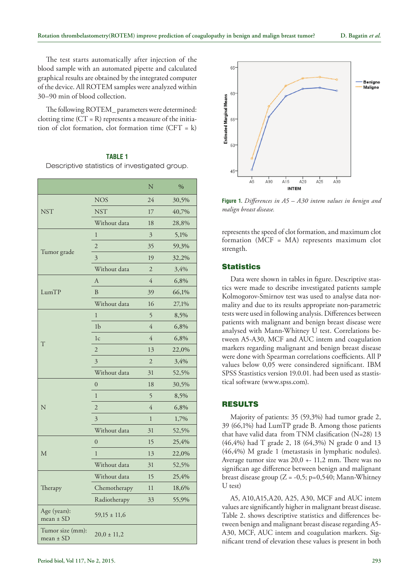The test starts automatically after injection of the blood sample with an automated pipette and calculated graphical results are obtained by the integrated computer of the device. All ROTEM samples were analyzed within 30–90 min of blood collection.

The following ROTEM\_ parameters were determined: clotting time  $(CT = R)$  represents a measure of the initiation of clot formation, clot formation time  $(CFT = k)$ 

#### **TABLE 1**

Descriptive statistics of investigated group.

|                               |                  | N              | $\%$  |
|-------------------------------|------------------|----------------|-------|
|                               | <b>NOS</b>       | 24             | 30,5% |
| <b>NST</b>                    | <b>NST</b>       | 17             | 40,7% |
|                               | Without data     | 18             | 28,8% |
|                               | 1                | 3              | 5,1%  |
|                               | $\overline{2}$   | 35             | 59,3% |
| Tumor grade                   | 3                | 19             | 32,2% |
|                               | Without data     | $\overline{2}$ | 3,4%  |
|                               | $\overline{A}$   | $\overline{4}$ | 6,8%  |
| LumTP                         | B                | 39             | 66,1% |
|                               | Without data     | 16             | 27,1% |
|                               | $\mathbf{1}$     | 5              | 8,5%  |
|                               | 1 <sub>b</sub>   | $\overline{4}$ | 6,8%  |
|                               | 1 <sub>c</sub>   | $\overline{4}$ | 6,8%  |
| T                             | $\overline{2}$   | 13             | 22,0% |
|                               | 3                | $\overline{2}$ | 3,4%  |
|                               | Without data     | 31             | 52,5% |
|                               | $\boldsymbol{0}$ | 18             | 30,5% |
|                               | $\mathbf{1}$     | 5              | 8,5%  |
| N                             | $\overline{2}$   | 4              | 6,8%  |
|                               | 3                | $\mathbf{1}$   | 1,7%  |
|                               | Without data     | 31             | 52,5% |
|                               | $\mathbf{0}$     | 15             | 25,4% |
| М                             | $\mathbf{1}$     | 13             | 22,0% |
|                               | Without data     | 31             | 52,5% |
|                               | Without data     | 15             | 25,4% |
| Therapy                       | Chemotherapy     | 11             | 18,6% |
|                               | Radiotherapy     | 33             | 55,9% |
| Age (years):<br>mean $\pm$ SD | $59,15 \pm 11,6$ |                |       |
| Tumor size (mm):<br>mean ± SD | $20,0 \pm 11,2$  |                |       |



**Figure 1.** *Differences in A5 – A30 intem values in benign and malign breast disease.*

represents the speed of clot formation, and maximum clot formation (MCF = MA) represents maximum clot strength.

### **Statistics**

Data were shown in tables in figure. Descriptive stastics were made to describe investigated patients sample Kolmogorov-Smirnov test was used to analyse data normality and due to its results appropriate non-parametric tests were used in following analysis. Differences between patients with malignant and benign breast disease were analysed with Mann-Whitney U test. Correlations between A5-A30, MCF and AUC intem and coagulation markers regarding malignant and benign breast disease were done with Spearman correlations coefficients. All P values below 0,05 were consindered significant. IBM SPSS Stastistics version 19.0.01. had been used as stastistical software [\(www.spss.com](http://www.spss.com/)).

# Results

Majority of patients: 35 (59,3%) had tumor grade 2, 39 (66,1%) had LumTP grade B. Among those patients that have valid data from TNM clasification (N=28) 13 (46,4%) had T grade 2, 18 (64,3%) N grade 0 and 13 (46,4%) M grade 1 (metastasis in lymphatic nodules). Average tumor size was 20,0 +- 11,2 mm. There was no significan age difference between benign and malignant breast disease group  $(Z = -0.5; p=0.540; \text{Mann-Whitney})$ U test)

A5, A10,A15,A20, A25, A30, MCF and AUC intem values are significantly higher in malignant breast disease. Table 2. shows descriptive statistics and differences between benign and malignant breast disease regarding A5- A30, MCF, AUC intem and coagulation markers. Significant trend of elevation these values is present in both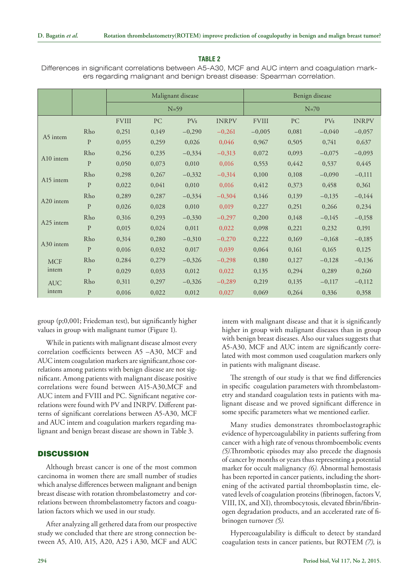## **Table 2**

Differences in significant correlations between A5-A30, MCF and AUC intem and coagulation markers regarding malignant and benign breast disease: Spearman correlation.

|                     |              | Malignant disease<br>$N=59$ |       |                 |              | Benign disease |       |                 |              |
|---------------------|--------------|-----------------------------|-------|-----------------|--------------|----------------|-------|-----------------|--------------|
|                     |              |                             |       |                 |              | $N=70$         |       |                 |              |
|                     |              | <b>FVIII</b>                | PC    | PV <sub>S</sub> | <b>INRPV</b> | <b>FVIII</b>   | PC    | PV <sub>s</sub> | <b>INRPV</b> |
| A5 intem            | Rho          | 0,251                       | 0,149 | $-0,290$        | $-0,261$     | $-0,005$       | 0,081 | $-0,040$        | $-0,057$     |
|                     | $\mathbf{P}$ | 0,055                       | 0,259 | 0,026           | 0,046        | 0,967          | 0,505 | 0,741           | 0,637        |
| A10 intem           | Rho          | 0,256                       | 0,235 | $-0,334$        | $-0,313$     | 0,072          | 0,093 | $-0,075$        | $-0,093$     |
|                     | $\mathbf{P}$ | 0,050                       | 0,073 | 0,010           | 0,016        | 0,553          | 0,442 | 0,537           | 0,445        |
| A15 intem           | Rho          | 0,298                       | 0,267 | $-0,332$        | $-0,314$     | 0,100          | 0,108 | $-0,090$        | $-0,111$     |
|                     | $\mathbf{P}$ | 0,022                       | 0,041 | 0,010           | 0,016        | 0,412          | 0,373 | 0,458           | 0,361        |
| A20 intem           | Rho          | 0,289                       | 0,287 | $-0,334$        | $-0,304$     | 0,146          | 0,139 | $-0,135$        | $-0,144$     |
|                     | $\mathbf{P}$ | 0,026                       | 0,028 | 0,010           | 0,019        | 0,227          | 0,251 | 0,266           | 0,234        |
| A25 intem           | Rho          | 0,316                       | 0,293 | $-0,330$        | $-0,297$     | 0,200          | 0,148 | $-0,145$        | $-0,158$     |
|                     | $\mathbf{P}$ | 0,015                       | 0,024 | 0,011           | 0,022        | 0,098          | 0,221 | 0,232           | 0,191        |
| A30 intem           | Rho          | 0,314                       | 0,280 | $-0,310$        | $-0,270$     | 0,222          | 0,169 | $-0,168$        | $-0,185$     |
|                     | $\mathbf{P}$ | 0,016                       | 0,032 | 0,017           | 0,039        | 0,064          | 0,161 | 0,165           | 0,125        |
| <b>MCF</b><br>intem | Rho          | 0,284                       | 0,279 | $-0,326$        | $-0,298$     | 0,180          | 0,127 | $-0,128$        | $-0,136$     |
|                     | $\mathbf{P}$ | 0,029                       | 0,033 | 0,012           | 0,022        | 0,135          | 0,294 | 0,289           | 0,260        |
| <b>AUC</b><br>intem | Rho          | 0,311                       | 0,297 | $-0,326$        | $-0,289$     | 0,219          | 0,135 | $-0,117$        | $-0,112$     |
|                     | $\mathbf{P}$ | 0,016                       | 0,022 | 0,012           | 0,027        | 0,069          | 0,264 | 0,336           | 0,358        |

group (p;0,001; Friedeman test), but significantly higher values in group with malignant tumor (Figure 1).

While in patients with malignant disease almost every correlation coefficients between A5 –A30, MCF and AUC intem coagulation markers are significant,those correlations among patients with benign disease are not significant. Among patients with malignant disease positive correlations were found between A15-A30,MCF and AUC intem and FVIII and PC. Significant negative correlations were found with PV and INRPV. Different patterns of significant correlations between A5-A30, MCF and AUC intem and coagulation markers regarding malignant and benign breast disease are shown in Table 3.

# **DISCUSSION**

Although breast cancer is one of the most common carcinoma in women there are small number of studies which analyse differences between malignant and benign breast disease with rotation thrombelastometry and correlations between thrombelastometry factors and coagulation factors which we used in our study.

After analyzing all gethered data from our prospective study we concluded that there are strong connection between A5, A10, A15, A20, A25 i A30, MCF and AUC intem with malignant disease and that it is significantly higher in group with malignant diseases than in group with benign breast diseases. Also our values suggests that A5-A30, MCF and AUC intem are significantly correlated with most common used coagulation markers only in patients with malignant disease.

The strength of our study is that we find differencies in specific coagulation parameters with thrombelastometry and standard coagulation tests in patients with malignant disease and we proved significant difference in some specific parameters what we mentioned earlier.

Many studies demonstrates thromboelastographic evidence of hypercoagulability in patients suffering from cancer with a high rate of venous thromboembolic events *(5).*Thrombotic episodes may also precede the diagnosis of cancer by months or years thus representing a potential marker for occult malignancy *(6).* Abnormal hemostasis has been reported in cancer patients, including the shortening of the activated partial thromboplastin time, elevated levels of coagulation proteins (fibrinogen, factors V, VIII, IX, and XI), thrombocytosis, elevated fibrin/fibrinogen degradation products, and an accelerated rate of fibrinogen turnover *(5).*

Hypercoagulability is difficult to detect by standard coagulation tests in cancer patients, but ROTEM *(7),* is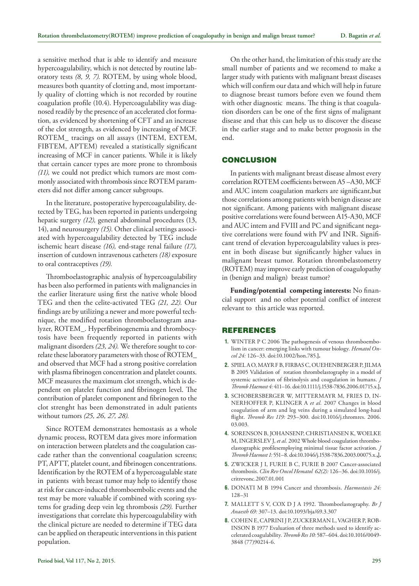a sensitive method that is able to identify and measure hypercoagulability, which is not detected by routine laboratory tests *(8, 9, 7).* ROTEM, by using whole blood, measures both quantity of clotting and, most importantly quality of clotting which is not recorded by routine coagulation profile (10.4). Hypercoagulability was diagnosed readily by the presence of an accelerated clot formation, as evidenced by shortening of CFT and an increase of the clot strength, as evidenced by increasing of MCF. ROTEM\_ tracings on all assays (INTEM, EXTEM, FIBTEM, APTEM) revealed a statistically significant increasing of MCF in cancer patients. While it is likely that certain cancer types are more prone to thrombosis *(11),* we could not predict which tumors are most commonly associated with thrombosis since ROTEM parameters did not differ among cancer subgroups.

In the literature, postoperative hypercoagulability, detected by TEG, has been reported in patients undergoing hepatic surgery *(12),* general abdominal procedures (13, 14), and neurosurgery *(15).* Other clinical settings associated with hypercoagulability detected by TEG include ischemic heart disease *(16),* end-stage renal failure *(17),* insertion of cutdown intravenous catheters *(18)* exposure to oral contraceptives *(19).*

Thromboelastographic analysis of hypercoagulability has been also performed in patients with malignancies in the earlier literature using first the native whole blood TEG and then the celite-activated TEG *(21, 22).* Our findings are by utilizing a newer and more powerful technique, the modified rotation thromboelastogram analyzer, ROTEM\_. Hyperfibrinogenemia and thrombocytosis have been frequently reported in patients with malignant disorders *(23, 24).* We therefore sought to correlate these laboratory parameters with those of ROTEM\_ and observed that MCF had a strong positive correlation with plasma fibrinogen concentration and platelet counts. MCF measures the maximum clot strength, which is dependent on platelet function and fibrinogen level. The contribution of platelet component and fibrinogen to the clot strenght has been demonstrated in adult patients without tumors *(25, 26, 27, 28).*

Since ROTEM demonstrates hemostasis as a whole dynamic process, ROTEM data gives more information on interaction between platelets and the coagulation cascade rather than the conventional coagulation screens; PT, APTT, platelet count, and fibrinogen concentrations. Identification by the ROTEM of a hypercoagulable state in patients with breast tumor may help to identify those at risk for cancer-induced thromboembolic events and the test may be more valuable if combined with scoring systems for grading deep vein leg thrombosis *(29).* Further investigations that correlate this hypercoagulability with the clinical picture are needed to determine if TEG data can be applied on therapeutic interventions in this patient population.

On the other hand, the limitation of this study are the small number of patients and we recomend to make a larger study with patients with malignant breast diseases which will confirm our data and which will help in future to diagnose breast tumors before even we found them with other diagnostic means. The thing is that coagulation disorders can be one of the first signs of malignant disease and that this can help us to discover the disease in the earlier stage and to make better prognosis in the end.

### **CONCLUSION**

In patients with malignant breast disease almost every correlation ROTEM coefficients between A5 –A30, MCF and AUC intem coagulation markers are significant,but those correlations among patients with benign disease are not significant. Among patients with malignant disease positive correlations were found between A15-A30, MCF and AUC intem and FVIII and PC and significant negative correlations were found with PV and INR. Significant trend of elevation hypercoagulability values is present in both disease but significantly higher values in malignant breast tumor. Rotation thrombelastometry (ROTEM) may improve early prediction of coagulopathy in (benign and malign) breast tumor?

**Funding/potential competing interests:** No financial support and no other potential conflict of interest relevant to this article was reported.

## **REFERENCES**

- **1.** WINTER P C 2006 The pathogenesis of venous thromboembolism in cancer: emerging links with tumour biology. *Hematol Oncol 24:* 126–33. doi:10.1002/hon.785.**].**
- **2.** SPIEL A O, MAYR F B, FIRBAS C, OUEHENBERGER P, JILMA B 2005 Validation of rotation thrombelastography in a model of systemic activation of fibrinolysis and coagulation in humans. *J Thromb Haemost 4:* 411–16. doi:10.1111/j.1538-7836.2006.01715.x.**].**
- **3.** SCHOBERSBERGER W, MITTERMAYR M, FRIES D, IN-NERHOFFER P, KLINGER A *et al.* 2007 Changes in blood coagulation of arm and leg veins during a simulated long-haul flight. *Thromb Res 119:* 293–300. doi:10.1016/j.thromres. 2006. 03.003.
- **4.** SORENSON B, JOHANSENP, CHRISTIANSEN K, WOELKE M, INGERSLEV J, *et al.* 2002 Whole blood coagulation thromboelastographic profilesemploying minimal tissue factor activation. *J Thromb Haemost 1:* 551–8. doi:10.1046/j.1538-7836.2003.00075.x.**,].**
- **5.** ZWICKER J I, FURIE B C, FURIE B 2007 Cancer-associated thrombosis. *Clin Rev Oncol Hematol 62(2):* 126–36. doi:10.1016/j. critrevonc.2007.01.001
- **6.** DONATI M B 1994 Cancer and thrombosis. *Haemostasis 24:* 128–31
- **7.** MALLETT S V, COX D J A 1992. Thromboelastography. *Br J Anaesth 69:* 307–13. doi:10.1093/bja/69.3.307
- **8.** COHEN E, CAPRINI J P, ZUCKERMAN L, VAGHER P, ROB-INSON B 1977 Evaluation of three methods used to identify accelerated coagulability. *Thromb Res 10:* 587–604. doi:10.1016/0049- 3848 (77)90214-6.